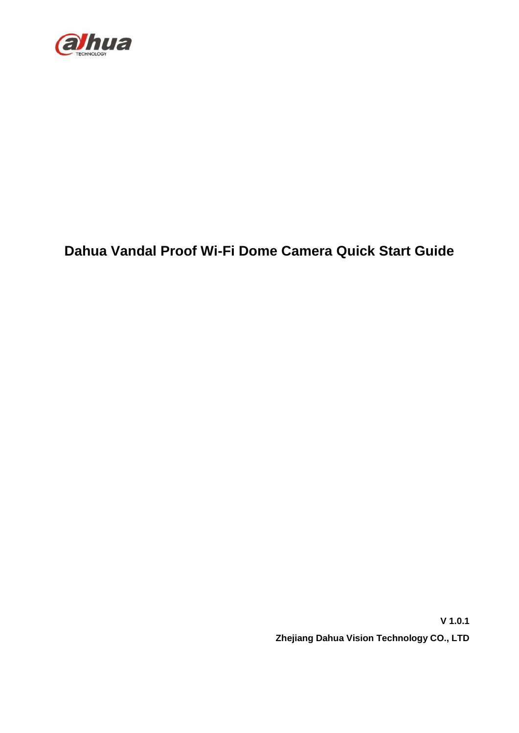

### **Dahua Vandal Proof Wi-Fi Dome Camera Quick Start Guide**

**V 1.0.1 Zhejiang Dahua Vision Technology CO., LTD**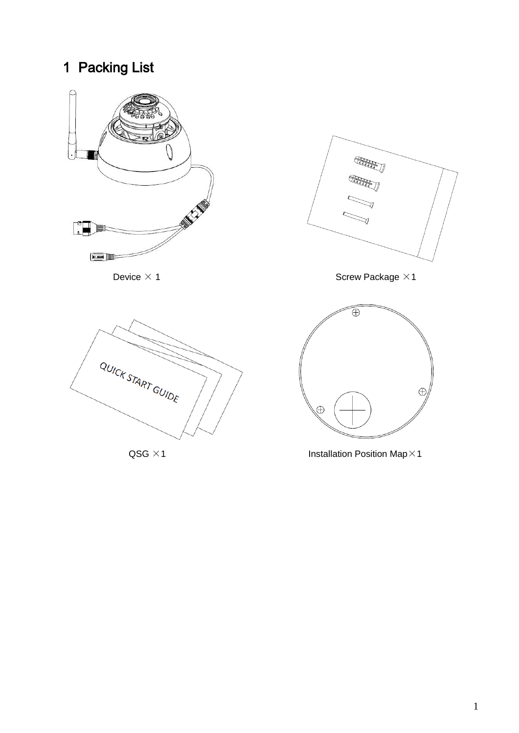## 1 Packing List



 $QSG \times 1$  Installation Position Map×1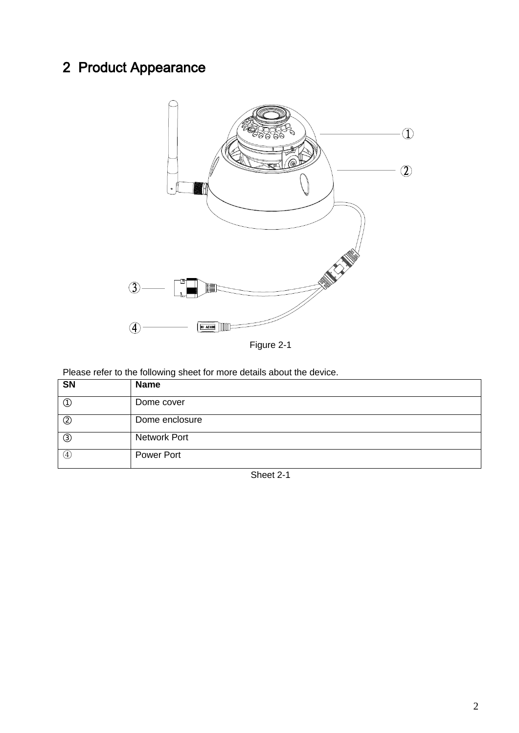# 2 Product Appearance



Figure 2-1

Please refer to the following sheet for more details about the device.

| SN             | <b>Name</b>         |
|----------------|---------------------|
| ₵              | Dome cover          |
| $^{\circledR}$ | Dome enclosure      |
| $\circledS$    | <b>Network Port</b> |
| (4)            | Power Port          |

Sheet 2-1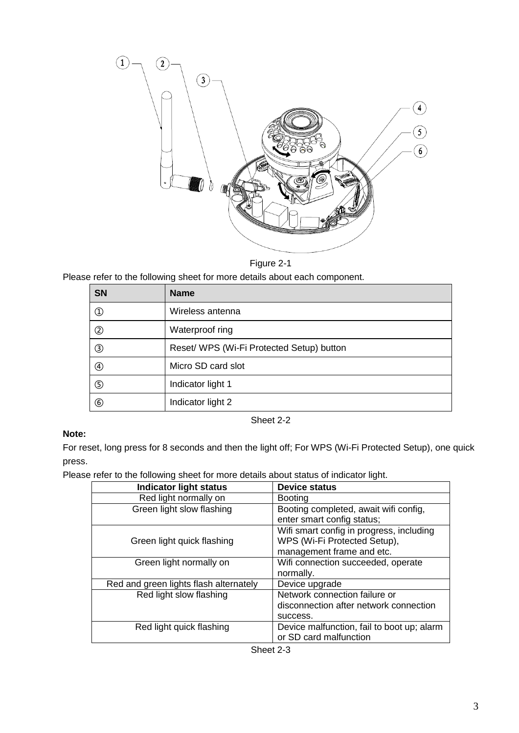

Figure 2-1

Please refer to the following sheet for more details about each component.

| <b>SN</b>     | <b>Name</b>                               |
|---------------|-------------------------------------------|
| $^\copyright$ | Wireless antenna                          |
| ②             | Waterproof ring                           |
| ③             | Reset/ WPS (Wi-Fi Protected Setup) button |
| ④             | Micro SD card slot                        |
| ⑤             | Indicator light 1                         |
| ⑥             | Indicator light 2                         |

Sheet 2-2

#### **Note:**

For reset, long press for 8 seconds and then the light off; For WPS (Wi-Fi Protected Setup), one quick press.

Please refer to the following sheet for more details about status of indicator light.

| <b>Indicator light status</b>          | <b>Device status</b>                       |
|----------------------------------------|--------------------------------------------|
| Red light normally on                  | <b>Booting</b>                             |
| Green light slow flashing              | Booting completed, await wifi config,      |
|                                        | enter smart config status;                 |
|                                        | Wifi smart config in progress, including   |
| Green light quick flashing             | WPS (Wi-Fi Protected Setup),               |
|                                        | management frame and etc.                  |
| Green light normally on                | Wifi connection succeeded, operate         |
|                                        | normally.                                  |
| Red and green lights flash alternately | Device upgrade                             |
| Red light slow flashing                | Network connection failure or              |
|                                        | disconnection after network connection     |
|                                        | success.                                   |
| Red light quick flashing               | Device malfunction, fail to boot up; alarm |
|                                        | or SD card malfunction                     |

| Sheet 2-3 |  |
|-----------|--|
|-----------|--|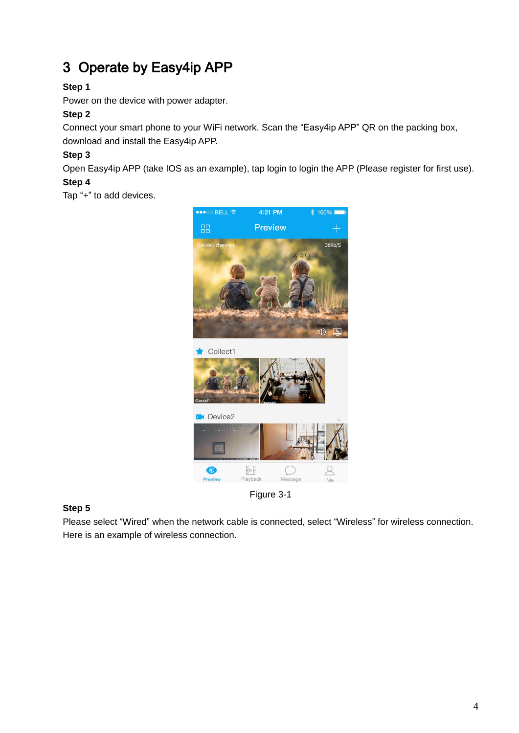### 3 Operate by Easy4ip APP

#### **Step 1**

Power on the device with power adapter.

#### **Step 2**

Connect your smart phone to your WiFi network. Scan the "Easy4ip APP" QR on the packing box, download and install the Easy4ip APP.

#### **Step 3**

Open Easy4ip APP (take IOS as an example), tap login to login the APP (Please register for first use).

#### **Step 4**

Tap "+" to add devices.



Figure 3-1

#### **Step 5**

Please select "Wired" when the network cable is connected, select "Wireless" for wireless connection. Here is an example of wireless connection.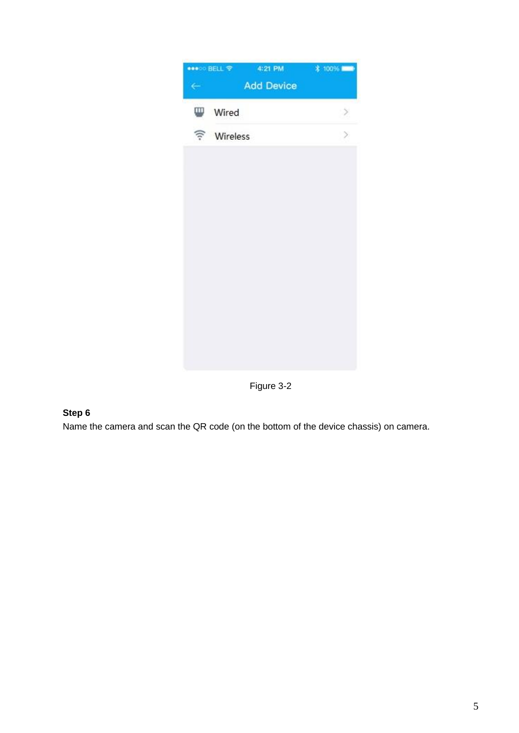

Figure 3-2

#### **Step 6**

Name the camera and scan the QR code (on the bottom of the device chassis) on camera.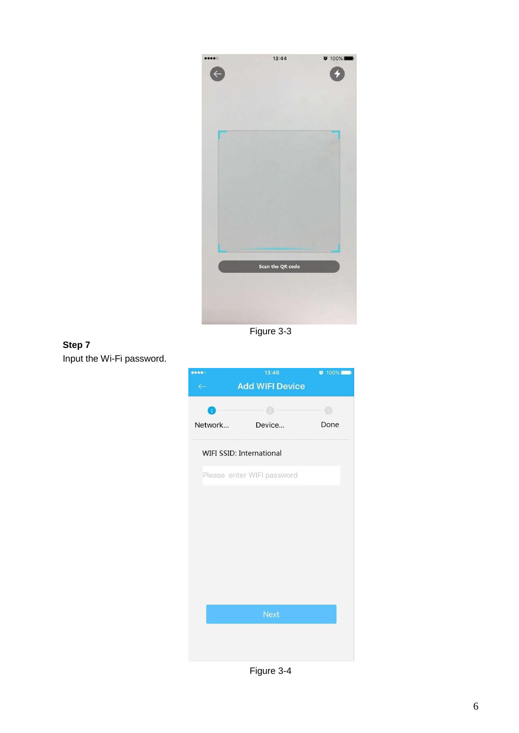

Figure 3-3

#### **Step 7**  Input the Wi-Fi password.



Figure 3-4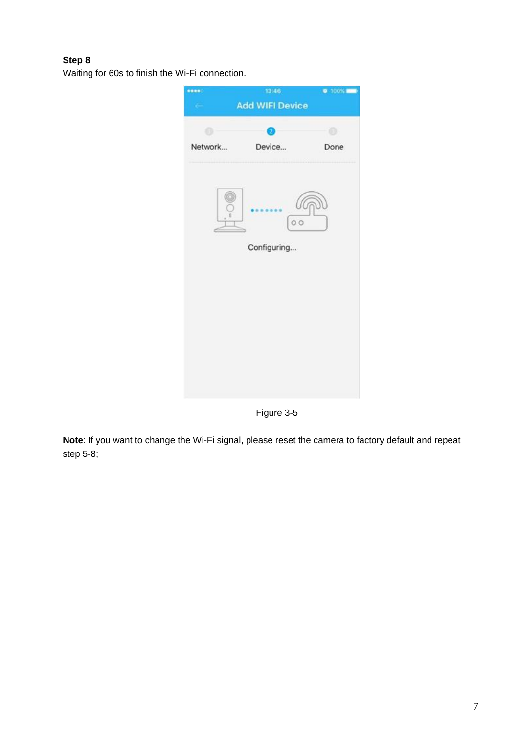#### **Step 8**

Waiting for 60s to finish the Wi-Fi connection.



Figure 3-5

**Note**: If you want to change the Wi-Fi signal, please reset the camera to factory default and repeat step 5-8;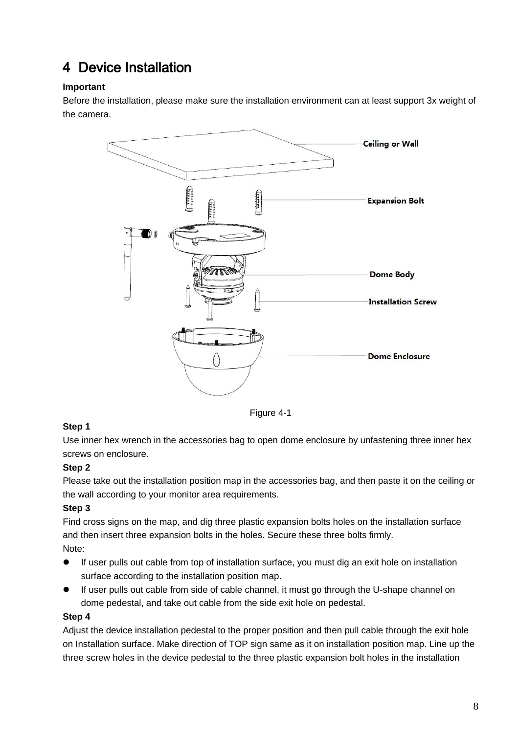### 4 Device Installation

#### **Important**

Before the installation, please make sure the installation environment can at least support 3x weight of the camera.



Figure 4-1

#### **Step 1**

Use inner hex wrench in the accessories bag to open dome enclosure by unfastening three inner hex screws on enclosure.

#### **Step 2**

Please take out the installation position map in the accessories bag, and then paste it on the ceiling or the wall according to your monitor area requirements.

#### **Step 3**

Find cross signs on the map, and dig three plastic expansion bolts holes on the installation surface and then insert three expansion bolts in the holes. Secure these three bolts firmly. Note:

- If user pulls out cable from top of installation surface, you must dig an exit hole on installation surface according to the installation position map.
- If user pulls out cable from side of cable channel, it must go through the U-shape channel on dome pedestal, and take out cable from the side exit hole on pedestal.

#### **Step 4**

Adjust the device installation pedestal to the proper position and then pull cable through the exit hole on Installation surface. Make direction of TOP sign same as it on installation position map. Line up the three screw holes in the device pedestal to the three plastic expansion bolt holes in the installation